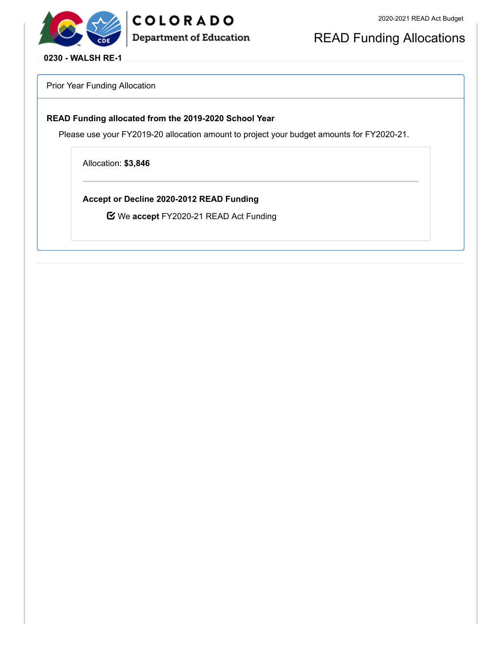



READ Funding Allocations

**0230 - WALSH RE-1**

Prior Year Funding Allocation

#### **READ Funding allocated from the 2019-2020 School Year**

Please use your FY2019-20 allocation amount to project your budget amounts for FY2020-21.

Allocation: **\$3,846**

**Accept or Decline 2020-2012 READ Funding**

We **accept** FY2020-21 READ Act Funding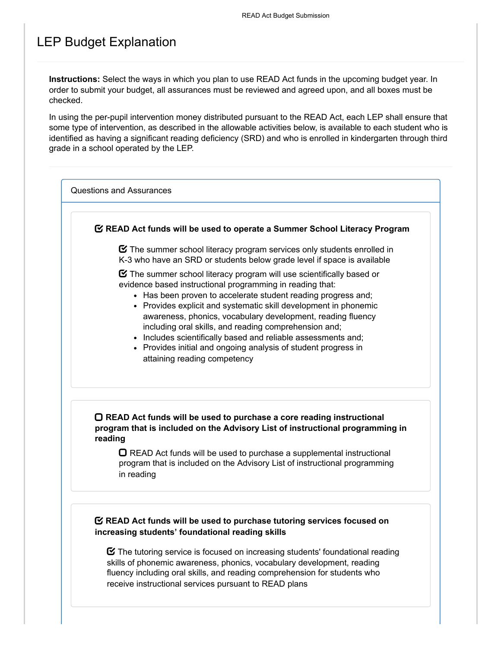## LEP Budget Explanation

**Instructions:** Select the ways in which you plan to use READ Act funds in the upcoming budget year. In order to submit your budget, all assurances must be reviewed and agreed upon, and all boxes must be checked.

In using the per-pupil intervention money distributed pursuant to the READ Act, each LEP shall ensure that some type of intervention, as described in the allowable activities below, is available to each student who is identified as having a significant reading deficiency (SRD) and who is enrolled in kindergarten through third grade in a school operated by the LEP.

Questions and Assurances

### **READ Act funds will be used to operate a Summer School Literacy Program**

 $\boldsymbol{\heartsuit}$  The summer school literacy program services only students enrolled in K-3 who have an SRD or students below grade level if space is available

 $\boldsymbol{\Xi}$  The summer school literacy program will use scientifically based or evidence based instructional programming in reading that:

- Has been proven to accelerate student reading progress and;
- Provides explicit and systematic skill development in phonemic awareness, phonics, vocabulary development, reading fluency including oral skills, and reading comprehension and;
- Includes scientifically based and reliable assessments and;
- Provides initial and ongoing analysis of student progress in attaining reading competency

### **READ Act funds will be used to purchase a core reading instructional program that is included on the Advisory List of instructional programming in reading**

 $\Box$  READ Act funds will be used to purchase a supplemental instructional program that is included on the Advisory List of instructional programming in reading

### **READ Act funds will be used to purchase tutoring services focused on increasing students' foundational reading skills**

 $\boldsymbol{\heartsuit}$  The tutoring service is focused on increasing students' foundational reading skills of phonemic awareness, phonics, vocabulary development, reading fluency including oral skills, and reading comprehension for students who receive instructional services pursuant to READ plans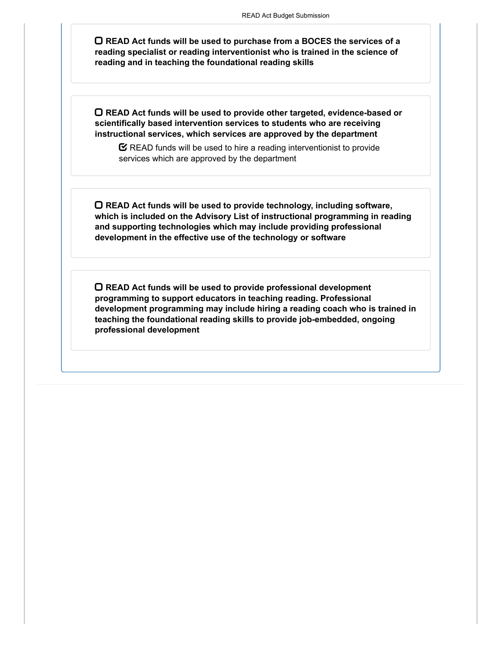**READ Act funds will be used to purchase from a BOCES the services of a reading specialist or reading interventionist who is trained in the science of reading and in teaching the foundational reading skills**

**READ Act funds will be used to provide other targeted, evidence-based or scientifically based intervention services to students who are receiving instructional services, which services are approved by the department**

 $\mathbf C$  READ funds will be used to hire a reading interventionist to provide services which are approved by the department

**READ Act funds will be used to provide technology, including software, which is included on the Advisory List of instructional programming in reading and supporting technologies which may include providing professional development in the effective use of the technology or software**

**READ Act funds will be used to provide professional development programming to support educators in teaching reading. Professional development programming may include hiring a reading coach who is trained in teaching the foundational reading skills to provide job-embedded, ongoing professional development**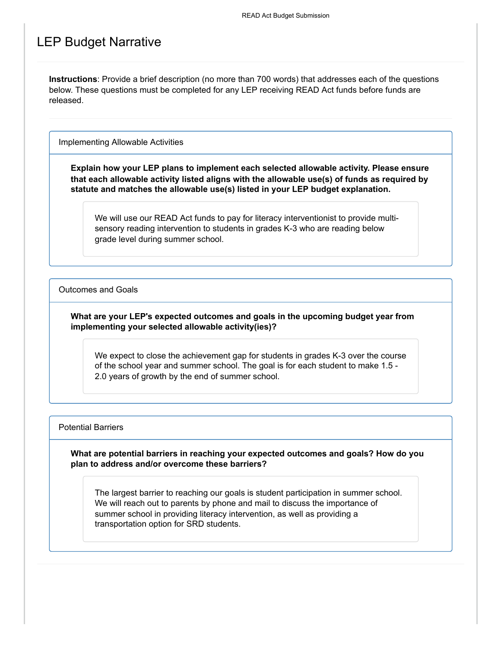### LEP Budget Narrative

**Instructions**: Provide a brief description (no more than 700 words) that addresses each of the questions below. These questions must be completed for any LEP receiving READ Act funds before funds are released.

Implementing Allowable Activities

**Explain how your LEP plans to implement each selected allowable activity. Please ensure that each allowable activity listed aligns with the allowable use(s) of funds as required by statute and matches the allowable use(s) listed in your LEP budget explanation.**

We will use our READ Act funds to pay for literacy interventionist to provide multisensory reading intervention to students in grades K-3 who are reading below grade level during summer school.

Outcomes and Goals

### **What are your LEP's expected outcomes and goals in the upcoming budget year from implementing your selected allowable activity(ies)?**

We expect to close the achievement gap for students in grades K-3 over the course of the school year and summer school. The goal is for each student to make 1.5 - 2.0 years of growth by the end of summer school.

Potential Barriers

**What are potential barriers in reaching your expected outcomes and goals? How do you plan to address and/or overcome these barriers?**

The largest barrier to reaching our goals is student participation in summer school. We will reach out to parents by phone and mail to discuss the importance of summer school in providing literacy intervention, as well as providing a transportation option for SRD students.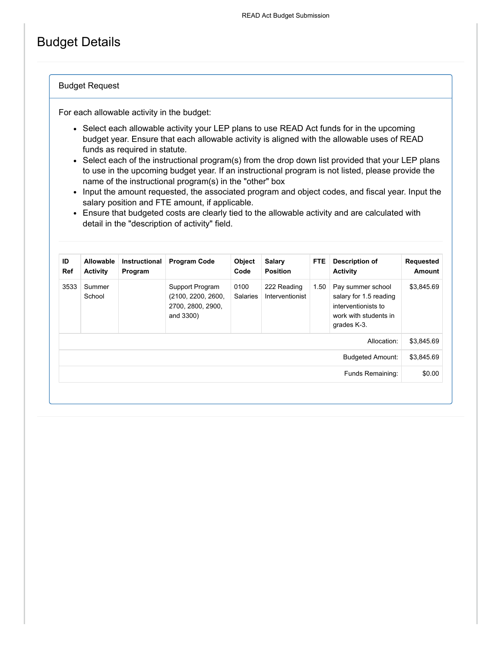## Budget Details

#### Budget Request

For each allowable activity in the budget:

- Select each allowable activity your LEP plans to use READ Act funds for in the upcoming budget year. Ensure that each allowable activity is aligned with the allowable uses of READ funds as required in statute.
- Select each of the instructional program(s) from the drop down list provided that your LEP plans to use in the upcoming budget year. If an instructional program is not listed, please provide the name of the instructional program(s) in the "other" box
- Input the amount requested, the associated program and object codes, and fiscal year. Input the salary position and FTE amount, if applicable.
- Ensure that budgeted costs are clearly tied to the allowable activity and are calculated with detail in the "description of activity" field.

| ID<br><b>Ref</b> | Allowable<br><b>Activity</b> | <b>Instructional</b><br>Program | <b>Program Code</b>                                                     | Object<br>Code          | Salary<br><b>Position</b>      | FTE. | Description of<br><b>Activity</b>                                                                          | <b>Requested</b><br>Amount |
|------------------|------------------------------|---------------------------------|-------------------------------------------------------------------------|-------------------------|--------------------------------|------|------------------------------------------------------------------------------------------------------------|----------------------------|
| 3533             | Summer<br>School             |                                 | Support Program<br>(2100, 2200, 2600,<br>2700, 2800, 2900,<br>and 3300) | 0100<br><b>Salaries</b> | 222 Reading<br>Interventionist | 1.50 | Pay summer school<br>salary for 1.5 reading<br>interventionists to<br>work with students in<br>grades K-3. | \$3,845.69                 |
| Allocation:      |                              |                                 |                                                                         |                         |                                |      |                                                                                                            | \$3,845.69                 |
|                  |                              |                                 |                                                                         |                         |                                |      | <b>Budgeted Amount:</b>                                                                                    | \$3,845.69                 |
|                  | Funds Remaining:             |                                 |                                                                         |                         |                                |      |                                                                                                            | \$0.00                     |